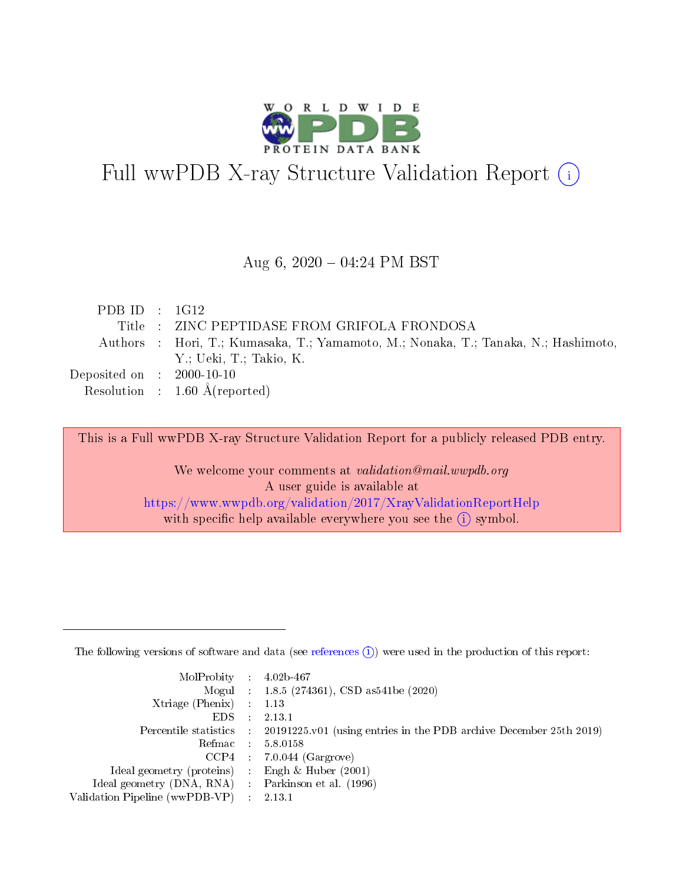

# Full wwPDB X-ray Structure Validation Report (i)

#### Aug 6,  $2020 - 04:24$  PM BST

| PDBID : 1G12                         |                                                                                   |
|--------------------------------------|-----------------------------------------------------------------------------------|
|                                      | Title : ZINC PEPTIDASE FROM GRIFOLA FRONDOSA                                      |
|                                      | Authors: Hori, T.; Kumasaka, T.; Yamamoto, M.; Nonaka, T.; Tanaka, N.; Hashimoto, |
|                                      | Y.; Ueki, T.; Takio, K.                                                           |
| Deposited on $\therefore$ 2000-10-10 |                                                                                   |
|                                      | Resolution : $1.60 \text{ Å}$ (reported)                                          |

This is a Full wwPDB X-ray Structure Validation Report for a publicly released PDB entry.

We welcome your comments at validation@mail.wwpdb.org A user guide is available at <https://www.wwpdb.org/validation/2017/XrayValidationReportHelp> with specific help available everywhere you see the  $(i)$  symbol.

The following versions of software and data (see [references](https://www.wwpdb.org/validation/2017/XrayValidationReportHelp#references)  $(1)$ ) were used in the production of this report:

| $MolProbability$ 4.02b-467                          |                             |                                                                                            |
|-----------------------------------------------------|-----------------------------|--------------------------------------------------------------------------------------------|
|                                                     |                             | Mogul : $1.8.5$ (274361), CSD as 541be (2020)                                              |
| Xtriage (Phenix)                                    |                             | 1.13                                                                                       |
| EDS.                                                | $\mathcal{L}$               | 2.13.1                                                                                     |
|                                                     |                             | Percentile statistics : 20191225.v01 (using entries in the PDB archive December 25th 2019) |
|                                                     |                             | Refmac $5.8.0158$                                                                          |
| CCP4                                                |                             | $7.0.044$ (Gargrove)                                                                       |
| Ideal geometry (proteins)                           | $\mathcal{L}^{\mathcal{L}}$ | Engh $\&$ Huber (2001)                                                                     |
| Ideal geometry (DNA, RNA) : Parkinson et al. (1996) |                             |                                                                                            |
| Validation Pipeline (wwPDB-VP)                      | $\sim 10^{11}$ m $^{-1}$    | 2.13.1                                                                                     |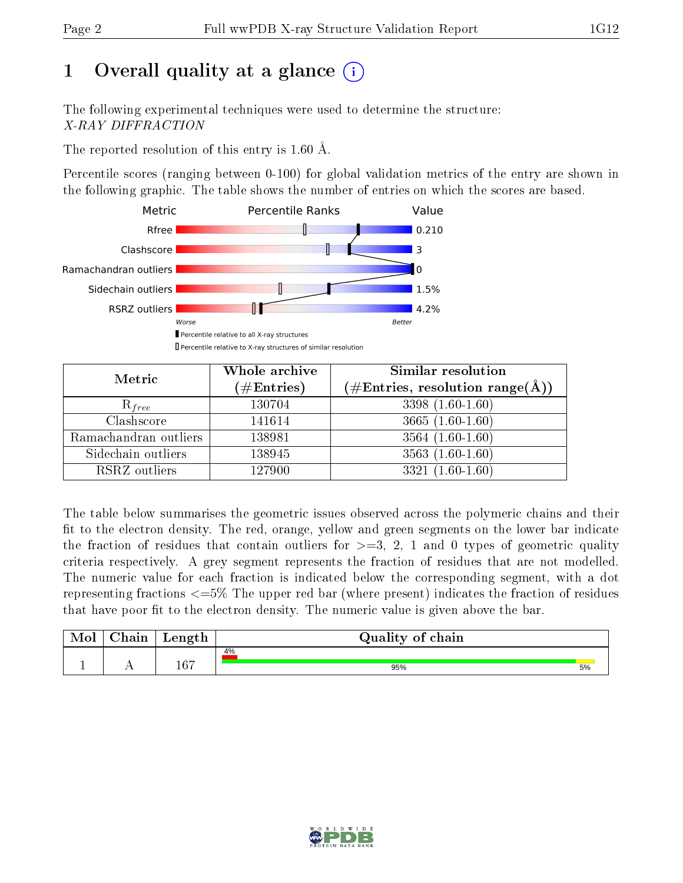# 1 [O](https://www.wwpdb.org/validation/2017/XrayValidationReportHelp#overall_quality)verall quality at a glance  $(i)$

The following experimental techniques were used to determine the structure: X-RAY DIFFRACTION

The reported resolution of this entry is 1.60 Å.

Percentile scores (ranging between 0-100) for global validation metrics of the entry are shown in the following graphic. The table shows the number of entries on which the scores are based.



| Metric                | Whole archive<br>$(\#\mathrm{Entries})$ | Similar resolution<br>$(\#\text{Entries},\,\text{resolution}\,\,\text{range}(\textup{\AA}))$ |
|-----------------------|-----------------------------------------|----------------------------------------------------------------------------------------------|
| $R_{free}$            | 130704                                  | $3398(1.60-1.60)$                                                                            |
| Clashscore            | 141614                                  | $3665(1.60-1.60)$                                                                            |
| Ramachandran outliers | 138981                                  | $3564(1.60-1.60)$                                                                            |
| Sidechain outliers    | 138945                                  | $3563(1.60-1.60)$                                                                            |
| RSRZ outliers         | 127900                                  | $3321(1.60-1.60)$                                                                            |

The table below summarises the geometric issues observed across the polymeric chains and their fit to the electron density. The red, orange, yellow and green segments on the lower bar indicate the fraction of residues that contain outliers for  $>=3, 2, 1$  and 0 types of geometric quality criteria respectively. A grey segment represents the fraction of residues that are not modelled. The numeric value for each fraction is indicated below the corresponding segment, with a dot representing fractions  $\epsilon=5\%$  The upper red bar (where present) indicates the fraction of residues that have poor fit to the electron density. The numeric value is given above the bar.

| Mol | $\cap$ hain | Length | Quality of chain |    |
|-----|-------------|--------|------------------|----|
|     |             |        | 4%               |    |
|     |             | 167    | 95%              | 5% |

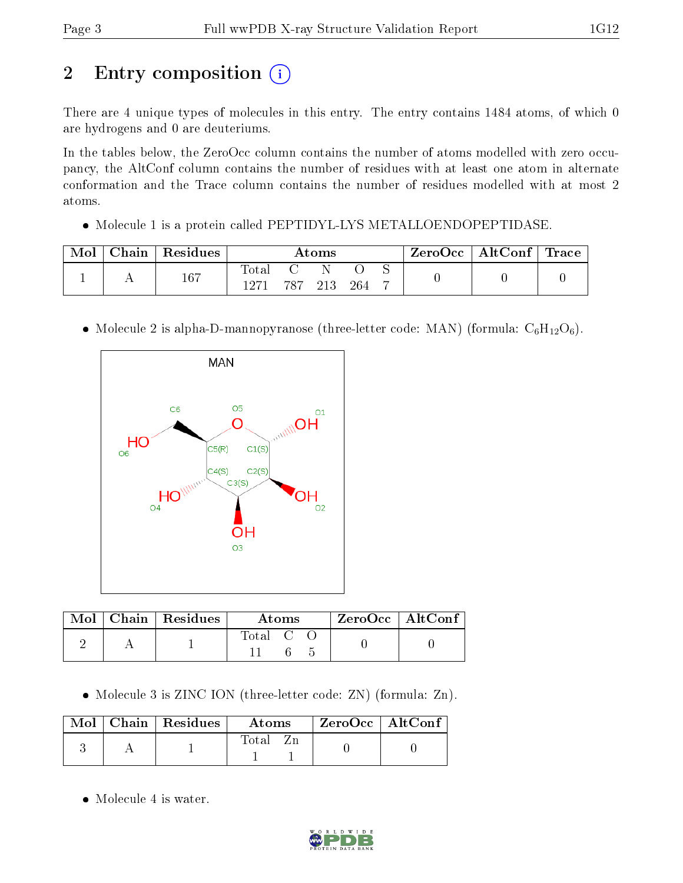# 2 Entry composition (i)

There are 4 unique types of molecules in this entry. The entry contains 1484 atoms, of which 0 are hydrogens and 0 are deuteriums.

In the tables below, the ZeroOcc column contains the number of atoms modelled with zero occupancy, the AltConf column contains the number of residues with at least one atom in alternate conformation and the Trace column contains the number of residues modelled with at most 2 atoms.

• Molecule 1 is a protein called PEPTIDYL-LYS METALLOENDOPEPTIDASE.

| Mol | Chain   Residues | Atoms                  |         |  | ZeroOcc   AltConf   Trace |   |  |  |
|-----|------------------|------------------------|---------|--|---------------------------|---|--|--|
|     | 167              | $_{\rm Total}$<br>1971 | 787 213 |  | 264                       | − |  |  |

• Molecule 2 is alpha-D-mannopyranose (three-letter code: MAN) (formula:  $C_6H_{12}O_6$ ).



|  | $Mol$   Chain   Residues | Atoms              | $ZeroOcc$   AltConf |
|--|--------------------------|--------------------|---------------------|
|  |                          | $\mathrm{Total}$ C |                     |

• Molecule 3 is ZINC ION (three-letter code: ZN) (formula: Zn).

|  | $\text{Mol}$   Chain   Residues | <b>Atoms</b> | $\rm ZeroOcc \mid AltConf$ |  |
|--|---------------------------------|--------------|----------------------------|--|
|  |                                 | Total        |                            |  |

• Molecule 4 is water.

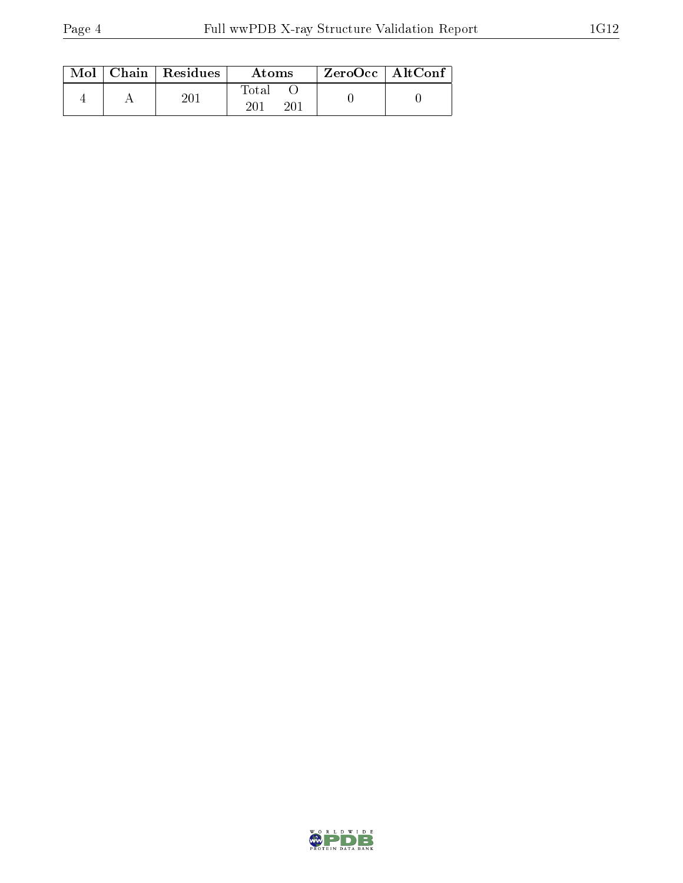|  | $Mol$   Chain   Residues | Atoms        | $ZeroOcc$   AltConf |  |
|--|--------------------------|--------------|---------------------|--|
|  |                          | Fotal<br>201 |                     |  |

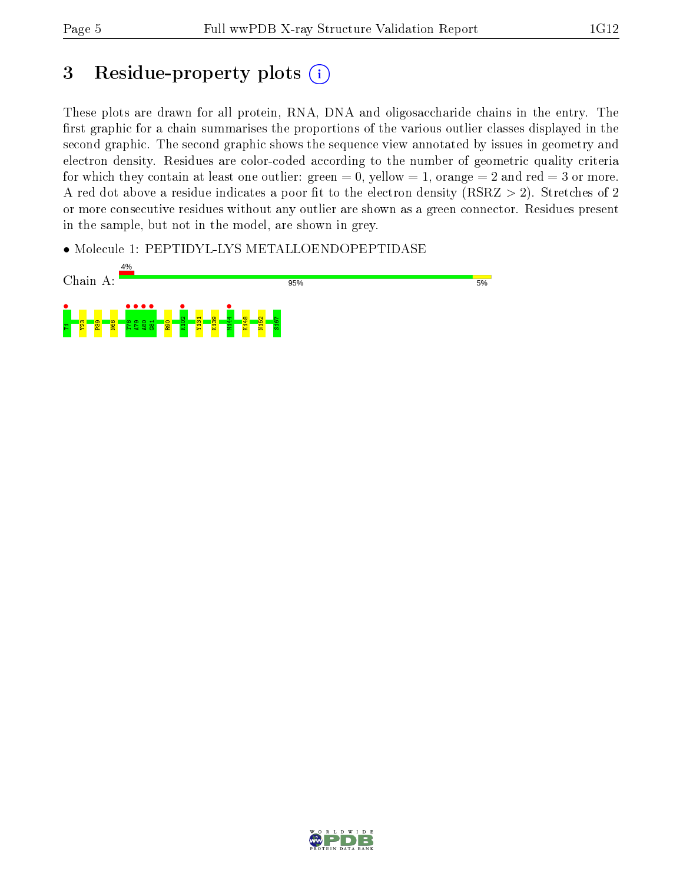# 3 Residue-property plots  $(i)$

These plots are drawn for all protein, RNA, DNA and oligosaccharide chains in the entry. The first graphic for a chain summarises the proportions of the various outlier classes displayed in the second graphic. The second graphic shows the sequence view annotated by issues in geometry and electron density. Residues are color-coded according to the number of geometric quality criteria for which they contain at least one outlier: green  $= 0$ , yellow  $= 1$ , orange  $= 2$  and red  $= 3$  or more. A red dot above a residue indicates a poor fit to the electron density ( $RSRZ > 2$ ). Stretches of 2 or more consecutive residues without any outlier are shown as a green connector. Residues present in the sample, but not in the model, are shown in grey.

• Molecule 1: PEPTIDYL-LYS METALLOENDOPEPTIDASE



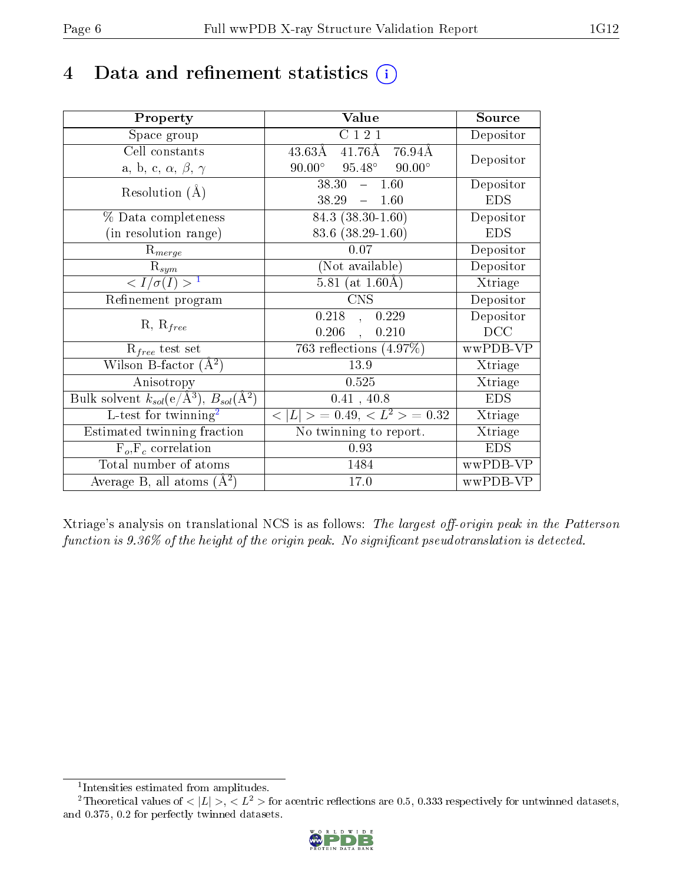## 4 Data and refinement statistics  $(i)$

| Property                                                         | Value                                                  | Source     |
|------------------------------------------------------------------|--------------------------------------------------------|------------|
| Space group                                                      | C121                                                   | Depositor  |
| Cell constants                                                   | $41.76\text{\AA}$<br>$43.63\text{\AA}$<br>76.94Å       | Depositor  |
| a, b, c, $\alpha$ , $\beta$ , $\gamma$                           | $95.48^{\circ}$ $90.00^{\circ}$<br>$90.00^\circ$       |            |
| Resolution $(A)$                                                 | 38.30<br>$-1.60$                                       | Depositor  |
|                                                                  | 38.29<br>$\equiv$ .<br>1.60                            | <b>EDS</b> |
| % Data completeness                                              | $84.3(38.30-1.60)$                                     | Depositor  |
| (in resolution range)                                            | $83.6$ $(38.29 - 1.60)$                                | <b>EDS</b> |
| $R_{merge}$                                                      | 0.07                                                   | Depositor  |
| $\mathrm{R}_{sym}$                                               | (Not available)                                        | Depositor  |
| $\langle I/\sigma(I) \rangle^{-1}$                               | 5.81 (at $1.60\text{\AA}$ )                            | Xtriage    |
| Refinement program                                               | <b>CNS</b>                                             | Depositor  |
|                                                                  | 0.218<br>0.229<br>$\overline{\phantom{a}}$             | Depositor  |
| $R, R_{free}$                                                    | 0.206<br>0.210<br>$\ddot{\phantom{a}}$                 | DCC        |
| $R_{free}$ test set                                              | 763 reflections $(4.97\%)$                             | wwPDB-VP   |
| Wilson B-factor $(A^2)$                                          | 13.9                                                   | Xtriage    |
| Anisotropy                                                       | 0.525                                                  | Xtriage    |
| Bulk solvent $k_{sol}(\text{e}/\text{A}^3), B_{sol}(\text{A}^2)$ | 0.41, 40.8                                             | <b>EDS</b> |
| L-test for twinning <sup>2</sup>                                 | $\overline{< L >$ = 0.49, $\overline{<}$ $L^2>$ = 0.32 | Xtriage    |
| Estimated twinning fraction                                      | $\overline{\text{No}}$ twinning to report.             | Xtriage    |
| $F_o, F_c$ correlation                                           | 0.93                                                   | <b>EDS</b> |
| Total number of atoms                                            | 1484                                                   | wwPDB-VP   |
| Average B, all atoms $(A^2)$                                     | 17.0                                                   | wwPDB-VP   |

Xtriage's analysis on translational NCS is as follows: The largest off-origin peak in the Patterson function is  $9.36\%$  of the height of the origin peak. No significant pseudotranslation is detected.

<sup>&</sup>lt;sup>2</sup>Theoretical values of  $\langle |L| \rangle$ ,  $\langle L^2 \rangle$  for acentric reflections are 0.5, 0.333 respectively for untwinned datasets, and 0.375, 0.2 for perfectly twinned datasets.



<span id="page-5-1"></span><span id="page-5-0"></span><sup>1</sup> Intensities estimated from amplitudes.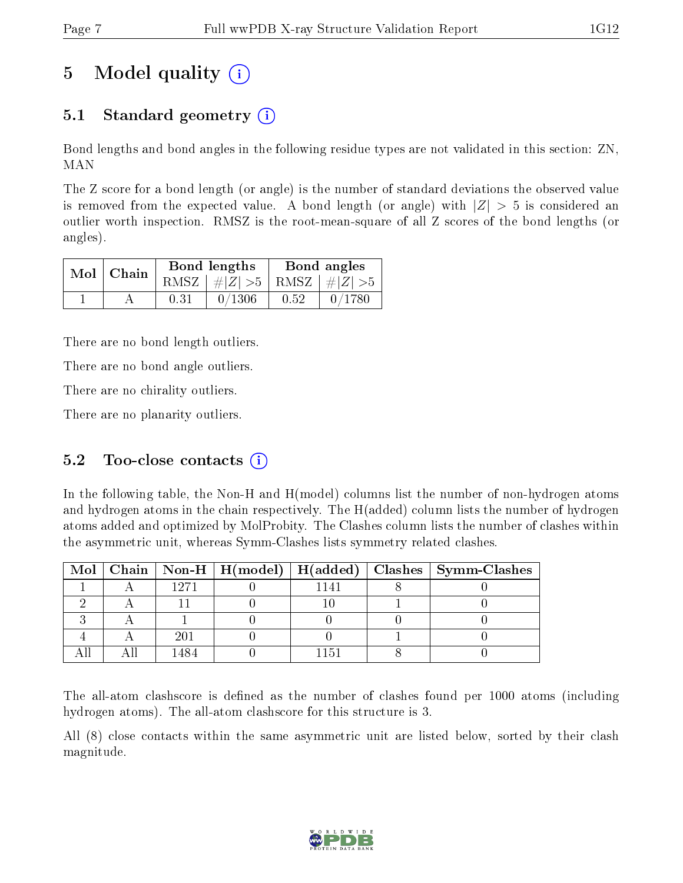# 5 Model quality  $(i)$

## 5.1 Standard geometry  $\overline{()}$

Bond lengths and bond angles in the following residue types are not validated in this section: ZN, MAN

The Z score for a bond length (or angle) is the number of standard deviations the observed value is removed from the expected value. A bond length (or angle) with  $|Z| > 5$  is considered an outlier worth inspection. RMSZ is the root-mean-square of all Z scores of the bond lengths (or angles).

|  | $Mol$   Chain |      | Bond lengths                    | Bond angles |           |  |
|--|---------------|------|---------------------------------|-------------|-----------|--|
|  |               |      | RMSZ $ #Z  > 5$ RMSZ $ #Z  > 5$ |             |           |  |
|  |               | 0.31 | 0/1306                          | 0.52        | $-0/1780$ |  |

There are no bond length outliers.

There are no bond angle outliers.

There are no chirality outliers.

There are no planarity outliers.

### 5.2 Too-close contacts  $(i)$

In the following table, the Non-H and H(model) columns list the number of non-hydrogen atoms and hydrogen atoms in the chain respectively. The H(added) column lists the number of hydrogen atoms added and optimized by MolProbity. The Clashes column lists the number of clashes within the asymmetric unit, whereas Symm-Clashes lists symmetry related clashes.

|  |      |      | Mol   Chain   Non-H   H(model)   H(added)   Clashes   Symm-Clashes |
|--|------|------|--------------------------------------------------------------------|
|  | 1271 | 1141 |                                                                    |
|  |      |      |                                                                    |
|  |      |      |                                                                    |
|  |      |      |                                                                    |
|  |      | 151  |                                                                    |

The all-atom clashscore is defined as the number of clashes found per 1000 atoms (including hydrogen atoms). The all-atom clashscore for this structure is 3.

All (8) close contacts within the same asymmetric unit are listed below, sorted by their clash magnitude.

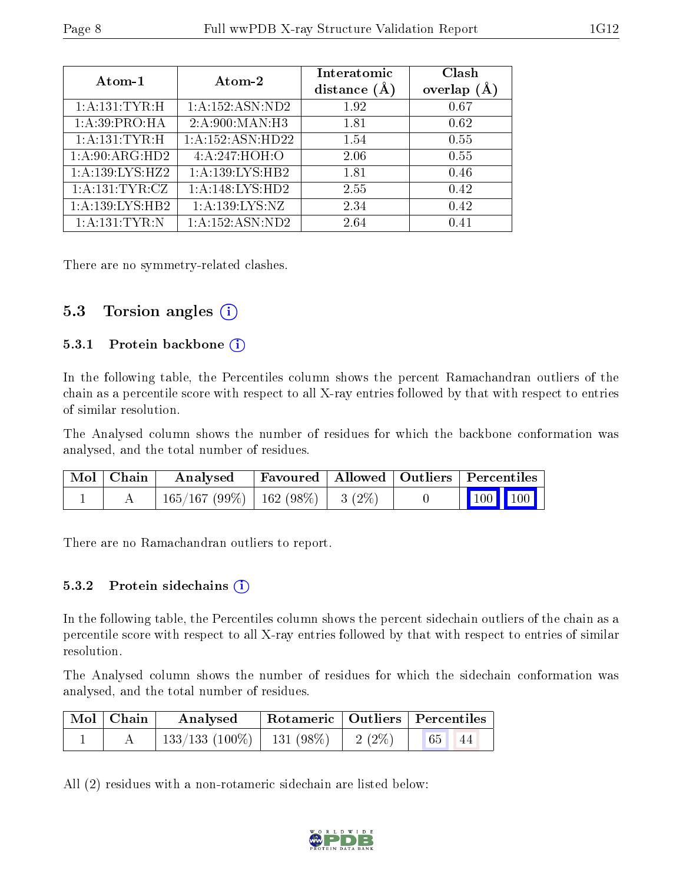| Atom-1              | Atom-2                       | Interatomic<br>distance $(A)$ | Clash<br>overlap<br>$(\AA)$ |
|---------------------|------------------------------|-------------------------------|-----------------------------|
| 1: A: 131: TYR: H   | $1:A:152:ASN:\overline{ND2}$ | 1.92                          | 0.67                        |
| 1:A:39:PRO:HA       | 2: A:900:MAN:H3              | 1.81                          | 0.62                        |
| 1: A: 131: TYR: H   | 1:A:152:ASN:HD22             | 1.54                          | 0.55                        |
| 1:A:90:ARG:HD2      | 4:A:247:HOH:O                | 2.06                          | 0.55                        |
| 1: A: 139: LYS: HZ2 | 1:A:139:LYS:HB2              | 1.81                          | 0.46                        |
| 1: A: 131: TYR: CZ  | 1:A:148:LYS:HD2              | 2.55                          | 0.42                        |
| 1:A:139:LYS:HB2     | 1: A: 139: LYS: NZ           | 2.34                          | 0.42                        |
| 1: A: 131: TYR: N   | 1:A:152:ASN:ND2              | 2.64                          | 0.41                        |

There are no symmetry-related clashes.

#### 5.3 Torsion angles (i)

#### 5.3.1 Protein backbone  $(i)$

In the following table, the Percentiles column shows the percent Ramachandran outliers of the chain as a percentile score with respect to all X-ray entries followed by that with respect to entries of similar resolution.

The Analysed column shows the number of residues for which the backbone conformation was analysed, and the total number of residues.

| $\text{Mol}$   Chain | Analysed                                | Favoured   Allowed   Outliers   Percentiles |  |                                                            |  |
|----------------------|-----------------------------------------|---------------------------------------------|--|------------------------------------------------------------|--|
|                      | $165/167 (99\%)$   162 (98\%)   3 (2\%) |                                             |  | $\begin{array}{ c c c c }\n\hline\n100 & 100\n\end{array}$ |  |

There are no Ramachandran outliers to report.

#### 5.3.2 Protein sidechains (i)

In the following table, the Percentiles column shows the percent sidechain outliers of the chain as a percentile score with respect to all X-ray entries followed by that with respect to entries of similar resolution.

The Analysed column shows the number of residues for which the sidechain conformation was analysed, and the total number of residues.

| Mol   Chain | Analysed                       |                                  | $\perp$ Rotameric   Outliers   Percentiles |    |
|-------------|--------------------------------|----------------------------------|--------------------------------------------|----|
|             | $133/133$ (100\%)   131 (98\%) | $\frac{1}{2}$ (2%) $\frac{1}{1}$ | 65 <sup>1</sup>                            | 44 |

All (2) residues with a non-rotameric sidechain are listed below:

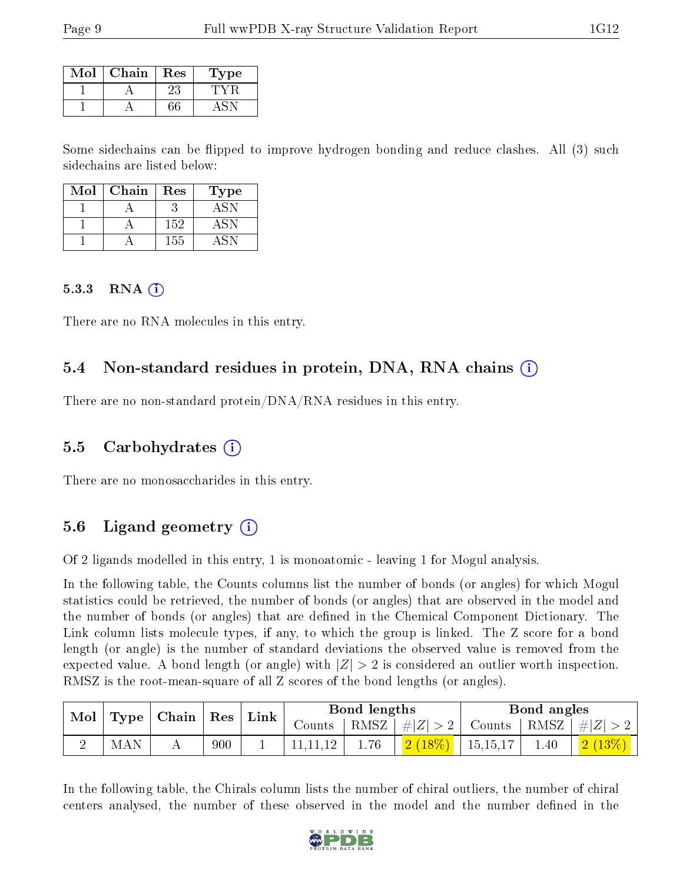| Mol | Chain | Res | Type |
|-----|-------|-----|------|
|     |       | 23  |      |
|     |       |     |      |

Some sidechains can be flipped to improve hydrogen bonding and reduce clashes. All (3) such sidechains are listed below:

| Mol | Chain | Res | 'Type |
|-----|-------|-----|-------|
|     |       |     |       |
|     |       | 152 | ΔSΝ   |
|     |       | 155 |       |

#### 5.3.3 RNA  $(i)$

There are no RNA molecules in this entry.

#### 5.4 Non-standard residues in protein, DNA, RNA chains (i)

There are no non-standard protein/DNA/RNA residues in this entry.

#### 5.5 Carbohydrates (i)

There are no monosaccharides in this entry.

### 5.6 Ligand geometry (i)

Of 2 ligands modelled in this entry, 1 is monoatomic - leaving 1 for Mogul analysis.

In the following table, the Counts columns list the number of bonds (or angles) for which Mogul statistics could be retrieved, the number of bonds (or angles) that are observed in the model and the number of bonds (or angles) that are dened in the Chemical Component Dictionary. The Link column lists molecule types, if any, to which the group is linked. The Z score for a bond length (or angle) is the number of standard deviations the observed value is removed from the expected value. A bond length (or angle) with  $|Z| > 2$  is considered an outlier worth inspection. RMSZ is the root-mean-square of all Z scores of the bond lengths (or angles).

| Mol | <b>Type</b> | $\mid$ Chain $\mid$ | $^{\dagger}$ Res | Link |        | Bond lengths |         |            | Bond angles |                          |
|-----|-------------|---------------------|------------------|------|--------|--------------|---------|------------|-------------|--------------------------|
|     |             |                     |                  |      | Counts | RMSZ         | $\# Z $ | Counts     | RMSZ        | $\# Z $                  |
|     | AN<br>M     | . .                 | 900              |      |        | 1.76         |         | 15, 15, 17 | 1.40        | $\overline{2}$<br>$13\%$ |

In the following table, the Chirals column lists the number of chiral outliers, the number of chiral centers analysed, the number of these observed in the model and the number defined in the

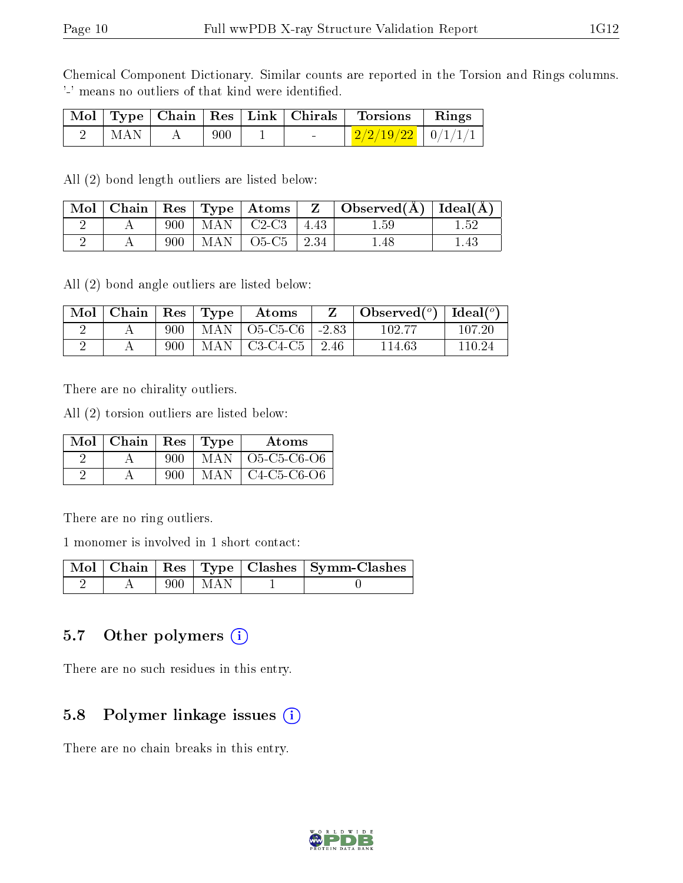Chemical Component Dictionary. Similar counts are reported in the Torsion and Rings columns. '-' means no outliers of that kind were identified.

|       |         |        | Mol   Type   Chain   Res   Link   Chirals   Torsions   Rings |  |
|-------|---------|--------|--------------------------------------------------------------|--|
| ' MAN | - 900 - | $\sim$ | $\left  \frac{2}{2/2/19/22} \right $ 0/1/1/1                 |  |

All (2) bond length outliers are listed below:

|  |     | Mol   Chain   Res   Type   Atoms |      | $Z \parallel$ Observed( $\AA$ )   Ideal( $\AA$ ) |  |
|--|-----|----------------------------------|------|--------------------------------------------------|--|
|  | 900 | $+$ MAN $+$ C2-C3                | 4.43 | 1.59                                             |  |
|  | 900 | $MAN$   O5-C5   2.34             |      | ı.48                                             |  |

All (2) bond angle outliers are listed below:

| Mol | Chain |     | $\text{Res}$   $\text{Type}$ | Atoms                  |              | Observed $(°)$ | Ideal $(^\circ)$ |
|-----|-------|-----|------------------------------|------------------------|--------------|----------------|------------------|
|     |       | 900 |                              | MAN   O5-C5-C6   -2.83 |              | 102.77         | 107.20           |
|     |       | 900 |                              | $MAN$   C3-C4-C5       | $\vert 2.46$ | 114.63         | 110.24           |

There are no chirality outliers.

All (2) torsion outliers are listed below:

| Mol | Chain |     | $\vert$ Res $\vert$ Type | Atoms         |
|-----|-------|-----|--------------------------|---------------|
|     |       | 900 | MAN –                    | $O5-C5-C6-O6$ |
|     |       | ann | MAN                      | $C4-C5-C6-O6$ |

There are no ring outliers.

1 monomer is involved in 1 short contact:

|  |             | Mol   Chain   Res   Type   Clashes   Symm-Clashes |
|--|-------------|---------------------------------------------------|
|  | $900 + MAN$ |                                                   |

#### 5.7 [O](https://www.wwpdb.org/validation/2017/XrayValidationReportHelp#nonstandard_residues_and_ligands)ther polymers  $(i)$

There are no such residues in this entry.

### 5.8 Polymer linkage issues  $(i)$

There are no chain breaks in this entry.

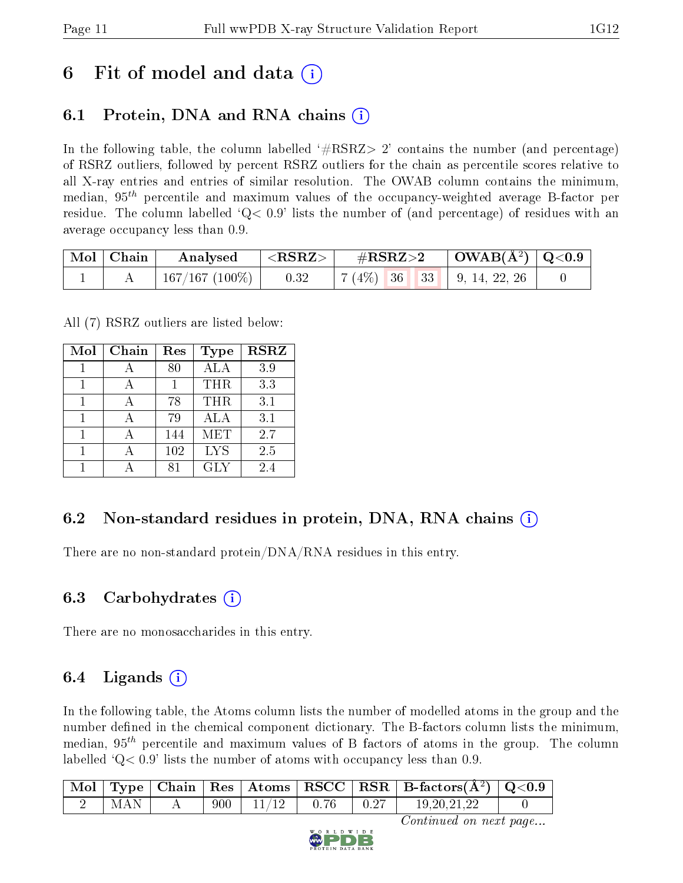## 6 Fit of model and data  $\left( \cdot \right)$

### 6.1 Protein, DNA and RNA chains (i)

In the following table, the column labelled  $#RSRZ>2'$  contains the number (and percentage) of RSRZ outliers, followed by percent RSRZ outliers for the chain as percentile scores relative to all X-ray entries and entries of similar resolution. The OWAB column contains the minimum, median,  $95<sup>th</sup>$  percentile and maximum values of the occupancy-weighted average B-factor per residue. The column labelled  $Q< 0.9$  lists the number of (and percentage) of residues with an average occupancy less than 0.9.

| $\mid$ Mol $\mid$ Chain | Analysed       | ${ <\hspace{-1.5pt}{\mathrm{RSRZ}} \hspace{-1.5pt}>}$ | $\rm \#RSRZ{>}2$                         | $\mid$ OWAB(Å <sup>2</sup> ) $\mid$ Q<0.9 $\mid$ |  |
|-------------------------|----------------|-------------------------------------------------------|------------------------------------------|--------------------------------------------------|--|
|                         | 167/167 (100%) | 0.32                                                  | $\mid 7(4\%)$ 36 33 $\mid$ 9, 14, 22, 26 |                                                  |  |

All (7) RSRZ outliers are listed below:

| Mol | Chain | Res | Type       | <b>RSRZ</b> |
|-----|-------|-----|------------|-------------|
|     |       | 80  | ALA        | 3.9         |
| 1   |       |     | THR        | 3.3         |
| 1   |       | 78  | THR        | 3.1         |
| 1   |       | 79  | ALA        | 3.1         |
|     |       | 144 | MET        | 2.7         |
| 1   |       | 102 | <b>LYS</b> | 2.5         |
|     |       |     | GLY        | 2.4         |

### 6.2 Non-standard residues in protein, DNA, RNA chains  $(i)$

There are no non-standard protein/DNA/RNA residues in this entry.

### 6.3 Carbohydrates  $(i)$

There are no monosaccharides in this entry.

### 6.4 Ligands  $(i)$

In the following table, the Atoms column lists the number of modelled atoms in the group and the number defined in the chemical component dictionary. The B-factors column lists the minimum, median,  $95<sup>th</sup>$  percentile and maximum values of B factors of atoms in the group. The column labelled  $Q< 0.9$  lists the number of atoms with occupancy less than 0.9.

|            |  |                        |      | $\mid$ Mol $\mid$ Type $\mid$ Chain $\mid$ Res $\mid$ Atoms $\mid$ RSCC $\mid$ RSR $\mid$ B-factors(Å <sup>2</sup> ) $\mid$ Q<0.9 $\mid$ |  |
|------------|--|------------------------|------|------------------------------------------------------------------------------------------------------------------------------------------|--|
| <b>MAN</b> |  | $900$   $11/12$   0.76 | 0.27 | 19, 20, 21, 22                                                                                                                           |  |

Continued on next page...